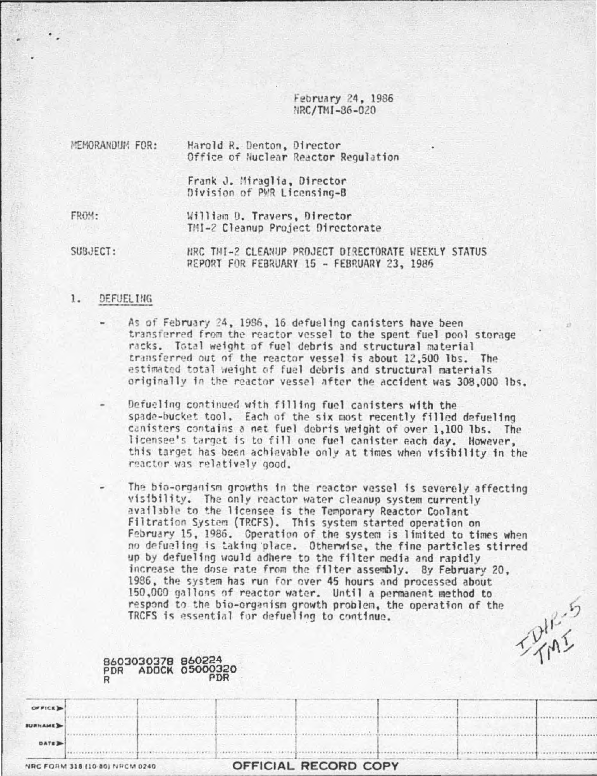February 24, 1986 NRC/TMI-86-020

| MEMORANDUM FOR: | Harold R. Denton, Director<br>Office of Huclear Reactor Regulation |
|-----------------|--------------------------------------------------------------------|
|                 | Frank J. Miraglia, Director<br>Division of PWR Licensing-B         |
| FROM:           | William D. Travers, Director<br>TMI-2 Cleanup Project Directorate  |

SUBJECT: HRC THI-2 CLEANUP PROJECT DIRECTORATE WEEKLY STATUS REPORT FOR FEBRUARY 15 - FEBRUARY 23, 1986

### 1. DEFUEL ING

- As of February 24, 1986, 16 defueling canisters have been transferred from the reactor vessel to the spent fuel pool storage racks. Total weight of fuel debris and structural material transferred out of the reactor vessel is about 12,500 lbs. The estimated total weight of fuel debris and structural materials originally in the reactor vessel after the accident was 308,000 lbs.
- Defueling continued with filling fuel canisters with the spade-bucket tool. Each of the six most recently filled defueling canisters contains a net fuel debris weight of over 1,100 lbs. The licensee's target is to fill one fuel canister each day. However, this target has been achievable only at times when visibility in the reactor was relatively good.
- The bio-organism growths in the reactor vessel is severely affecting visibility. The only reactor water cleanup system currently available to the licensee is the Temporary Reactor Coolant Filtration System (TRCFS). This system started operation on February 15, 1986. Operation of the system is limited to times when no defueling is taking place. Otherwise, the fine particles stirred up by defueling would adhere to the filter media and rapidly increase the dose rate from the filter assembly. By February 20, 1986, the system has run for over 45 hours and processed about 150,000 gallons of reactor water. Until a permanent method to respond to the bio-organism growth problem, the operation of the TRCFS is essential for defueling to continue.

|                |                                |                                         |     | TRCFS is essential for defueling to continue. | two even gainers at reactor maters. Ontil a permanent method to<br>respond to the bio-organism growth problem, the operation of the |  |
|----------------|--------------------------------|-----------------------------------------|-----|-----------------------------------------------|-------------------------------------------------------------------------------------------------------------------------------------|--|
|                |                                | 8603030378 860224<br>PDR ADOCK 05000320 | PDR |                                               |                                                                                                                                     |  |
| OFFICE 3       |                                |                                         |     |                                               |                                                                                                                                     |  |
| <b>SURNAME</b> |                                |                                         |     |                                               |                                                                                                                                     |  |
| <b>DATE</b>    |                                |                                         |     |                                               |                                                                                                                                     |  |
|                | NRC FORM 318 (10-80) NRCM 0240 |                                         |     | OFFICIAL RECORD COPY                          |                                                                                                                                     |  |

.........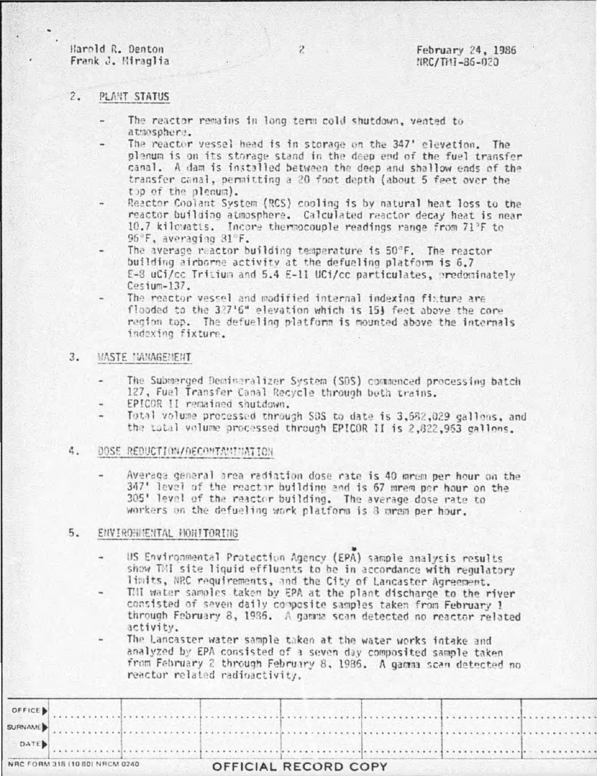Harold R. Denton Frank J. Miraglia

# $2.$ PLANT STATUS

- The reactor remains in long term cold shutdown, vented to atmosphere.
- The reactor vessel head is in storage on the 347' elevation. The plenum is on its storage stand in the deep end of the fuel transfer canal. A dam is installed between the deep and shallow ends of the transfer canal, permitting a 20 foot depth (about 5 feet over the the of the plenum).
- Reactor Coolant System (RCS) cooling is by natural heat loss to the reactor building atmosphere. Calculated reactor decay heat is near 10.7 kilowatts. Incore thermocouple readings range from 71°F to 96°F, averaging 81°F.
- The average reactor building temperature is 50°F. The reactor building airborne activity at the defueling platform is 6.7 E-8 uCi/cc Tritium and 5.4 E-11 UCi/cc particulates, predominately  $C$ esium-137.
- The reactor vessel and modified internal indexing fixture are flooded to the 327'6" elevation which is 15} feet above the core region top. The defueling platform is mounted above the internals indexing fixture.

### $3.$ **HASTE MANAGEMENT**

- The Submerged Demineralizer System (SDS) commenced processing batch 127, Fuel Transfer Canal Recycle through both trains.
- EPICOR II remained shutdown.
- Total volume processed through SOS to date is 3,582,029 gallons, and the total volume processed through EPICOR II is 2,822,953 gallons.

## DOSE REDUCTION/RECONTANINATION 4.

Average general area radiation dose rate is 40 mrem per hour on the 347' level of the reactor building and is 67 mrem per hour on the 305' level of the reactor building. The average dose rate to workers on the defueling work platform is 8 mram per hour.

#### $5.$ ENVIROHMENTAL HONITORING

- US Environmental Protection Agency (EPA) sample analysis results show TMI site liquid effluents to be in accordance with regulatory limits, NRC requirements, and the City of Lancaster Agreement.
- THI water samples taken by EPA at the plant discharge to the river consisted of seven daily composite samples taken from February 1 through February 8, 1986. A gamma scan detected no reactor related activity.
- The Lancaster water sample taken at the water works intake and analyzed by EPA consisted of a seven day composited sample taken from February 2 through February 8, 1986. A gamma scan detected no reactor related radioactivity.

|  |  |  | $\rightarrow$ DATE) |  |
|--|--|--|---------------------|--|
|  |  |  |                     |  |
|  |  |  |                     |  |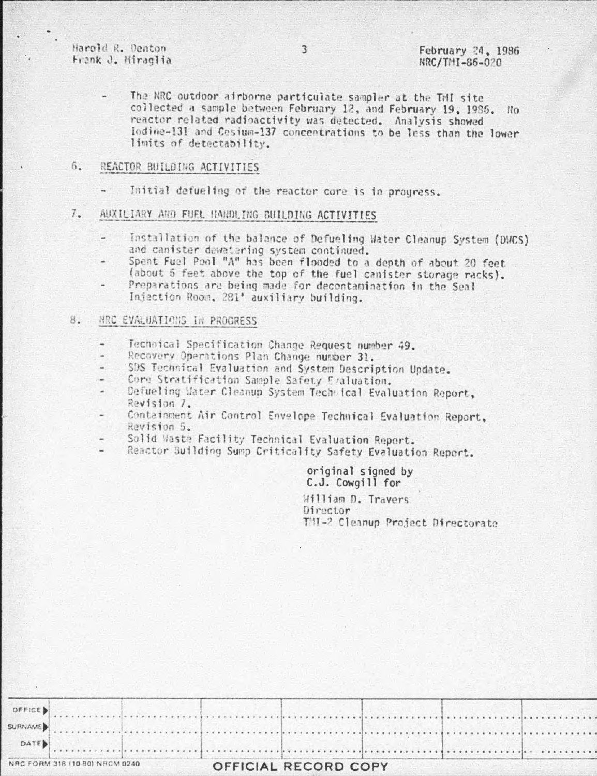Harold R. Denton Frank J. Miraglia

The NRC outdoor airborne particulate sampler at the TMI site collected a sample between February 12, and February 19, 1936. No reactor related radioactivity was detected. Analysis showed Iodine-131 and Cesium-137 concentrations to be less than the lower limits of detectability.

## 6. REACTOR BUILDING ACTIVITIES

Initial defueling of the reactor core is in progress.

# $7.$ AUXILIARY AND FUEL HANDLING BUILDING ACTIVITIES

- Installation of the balance of Defueling Water Cleanup System (DWCS) and canister dewatering system continued.
- Spent Fuel Pool "A" has been flooded to a depth of about 20 feet (about 5 feet above the top of the fuel canister storage racks).
- Preparations are being made for decontamination in the Seal Injection Room, 281' auxiliary building.

## NRC EVALUATIONS IN PROGRESS 8.

- Technical Specification Change Request number 49.
- Recovery Operations Plan Change number 31.
- SDS Technical Evaluation and System Description Update.
- Core Stratification Sample Safety Evaluation.
- Defueling Water Cleanup System Technical Evaluation Report, Revision 7.
- Containment Air Control Envelope Technical Evaluation Report, Revision 5.
- Solid Waste Facility Technical Evaluation Report.
- Reactor Building Sump Criticality Safety Evaluation Report.

original signed by C.J. Cowgill for

William D. Travers Director THI-2 Cleanup Project Directorate

|                                | SURNAME) |                      |  |  |
|--------------------------------|----------|----------------------|--|--|
|                                | DATE)    |                      |  |  |
| NRC FORM 318 (10 80) NRCM 0240 |          | OFFICIAL RECORD COPY |  |  |